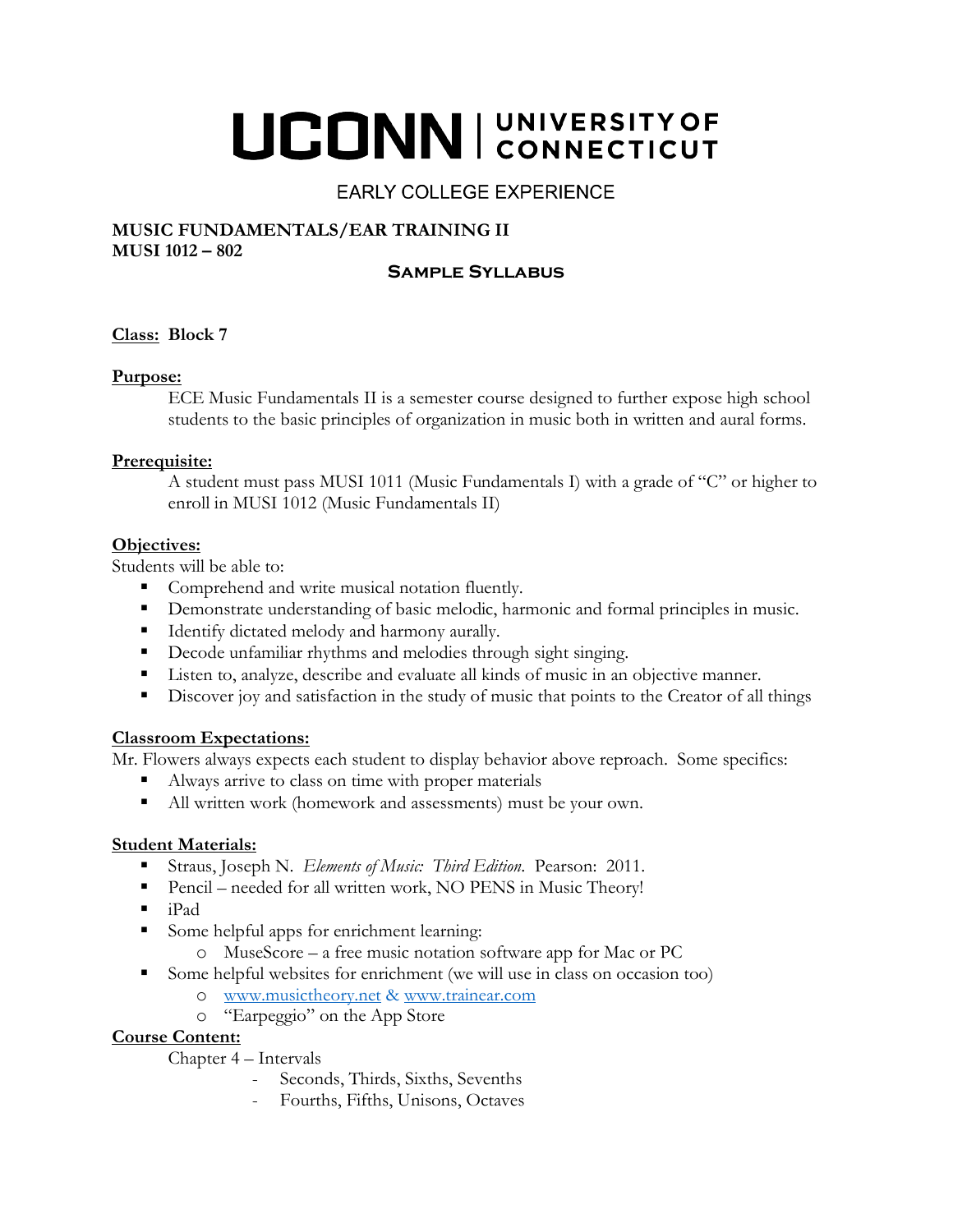# UCONN | UNIVERSITY OF

# **EARLY COLLEGE EXPERIENCE**

#### **MUSIC FUNDAMENTALS/EAR TRAINING II MUSI 1012 – 802**

## **Sample Syllabus**

#### **Class: Block 7**

#### **Purpose:**

ECE Music Fundamentals II is a semester course designed to further expose high school students to the basic principles of organization in music both in written and aural forms.

#### **Prerequisite:**

A student must pass MUSI 1011 (Music Fundamentals I) with a grade of "C" or higher to enroll in MUSI 1012 (Music Fundamentals II)

#### **Objectives:**

Students will be able to:

- Comprehend and write musical notation fluently.
- **Demonstrate understanding of basic melodic, harmonic and formal principles in music.**
- Identify dictated melody and harmony aurally.
- Decode unfamiliar rhythms and melodies through sight singing.
- Listen to, analyze, describe and evaluate all kinds of music in an objective manner.
- Discover joy and satisfaction in the study of music that points to the Creator of all things

#### **Classroom Expectations:**

Mr. Flowers always expects each student to display behavior above reproach. Some specifics:

- Always arrive to class on time with proper materials
- All written work (homework and assessments) must be your own.

#### **Student Materials:**

- Straus, Joseph N. *Elements of Music: Third Edition*. Pearson: 2011.
- Pencil needed for all written work, NO PENS in Music Theory!
- $\blacksquare$  iPad
- Some helpful apps for enrichment learning:
	- o MuseScore a free music notation software app for Mac or PC
- Some helpful websites for enrichment (we will use in class on occasion too)
	- o [www.musictheory.net](http://www.musictheory.net/) & www.trainear.com
	- o "Earpeggio" on the App Store

#### **Course Content:**

Chapter 4 – Intervals

- Seconds, Thirds, Sixths, Sevenths
- Fourths, Fifths, Unisons, Octaves